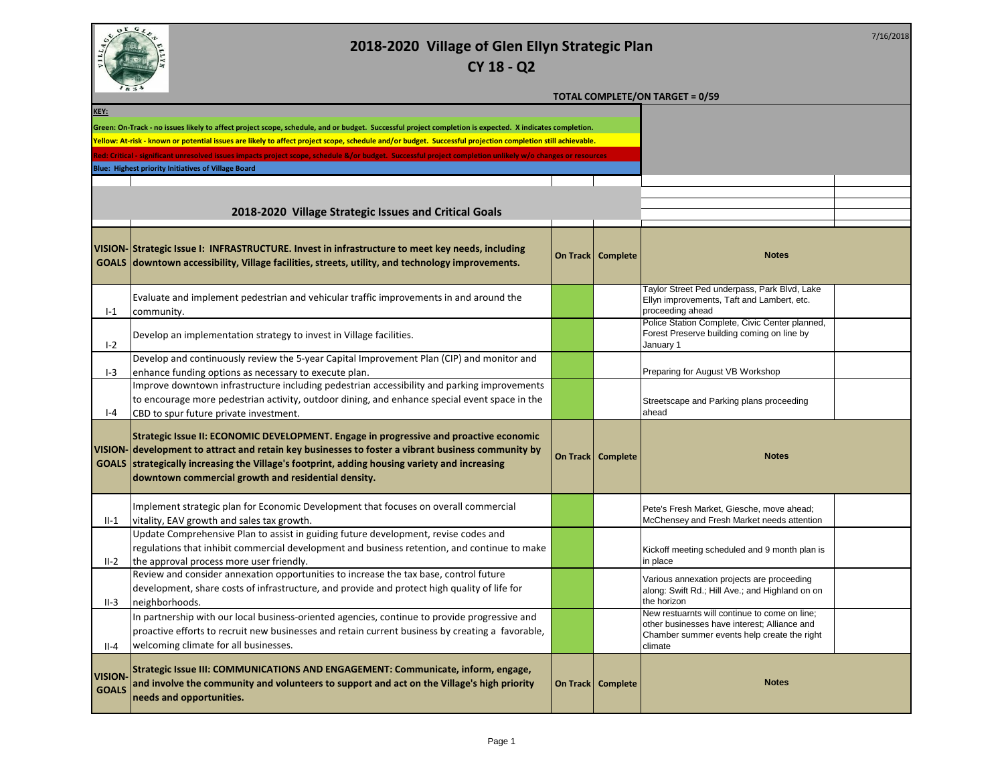

7/16/2018

**TOTAL COMPLETE/ON TARGET = 0/59**

| KEY:                          |                                                                                                                                                                                                                                                                                                                                                      |  |                     |                                                                                                                                                         |  |
|-------------------------------|------------------------------------------------------------------------------------------------------------------------------------------------------------------------------------------------------------------------------------------------------------------------------------------------------------------------------------------------------|--|---------------------|---------------------------------------------------------------------------------------------------------------------------------------------------------|--|
|                               | Green: On-Track - no issues likely to affect project scope, schedule, and or budget. Successful project completion is expected. X indicates completion.                                                                                                                                                                                              |  |                     |                                                                                                                                                         |  |
|                               | Yellow: At-risk - known or potential issues are likely to affect project scope, schedule and/or budget. Successful projection completion still achievable.                                                                                                                                                                                           |  |                     |                                                                                                                                                         |  |
|                               | Red: Critical - significant unresolved issues impacts project scope, schedule &/or budget. Successful project completion unlikely w/o changes or resources                                                                                                                                                                                           |  |                     |                                                                                                                                                         |  |
|                               | Blue: Highest priority Initiatives of Village Board                                                                                                                                                                                                                                                                                                  |  |                     |                                                                                                                                                         |  |
|                               |                                                                                                                                                                                                                                                                                                                                                      |  |                     |                                                                                                                                                         |  |
|                               |                                                                                                                                                                                                                                                                                                                                                      |  |                     |                                                                                                                                                         |  |
|                               | 2018-2020 Village Strategic Issues and Critical Goals                                                                                                                                                                                                                                                                                                |  |                     |                                                                                                                                                         |  |
|                               | VISION-Strategic Issue I: INFRASTRUCTURE. Invest in infrastructure to meet key needs, including<br>GOALS downtown accessibility, Village facilities, streets, utility, and technology improvements.                                                                                                                                                  |  | On Track   Complete | <b>Notes</b>                                                                                                                                            |  |
| $I-1$                         | Evaluate and implement pedestrian and vehicular traffic improvements in and around the<br>community.                                                                                                                                                                                                                                                 |  |                     | Taylor Street Ped underpass, Park Blvd, Lake<br>Ellyn improvements, Taft and Lambert, etc.<br>proceeding ahead                                          |  |
| $1-2$                         | Develop an implementation strategy to invest in Village facilities.                                                                                                                                                                                                                                                                                  |  |                     | Police Station Complete, Civic Center planned,<br>Forest Preserve building coming on line by<br>January 1                                               |  |
| $I-3$                         | Develop and continuously review the 5-year Capital Improvement Plan (CIP) and monitor and<br>enhance funding options as necessary to execute plan.                                                                                                                                                                                                   |  |                     | Preparing for August VB Workshop                                                                                                                        |  |
| $I - 4$                       | Improve downtown infrastructure including pedestrian accessibility and parking improvements<br>to encourage more pedestrian activity, outdoor dining, and enhance special event space in the<br>CBD to spur future private investment.                                                                                                               |  |                     | Streetscape and Parking plans proceeding<br>ahead                                                                                                       |  |
|                               | Strategic Issue II: ECONOMIC DEVELOPMENT. Engage in progressive and proactive economic<br>VISION- development to attract and retain key businesses to foster a vibrant business community by<br>GOALS strategically increasing the Village's footprint, adding housing variety and increasing<br>downtown commercial growth and residential density. |  | On Track   Complete | <b>Notes</b>                                                                                                                                            |  |
| $II-1$                        | Implement strategic plan for Economic Development that focuses on overall commercial<br>vitality, EAV growth and sales tax growth.                                                                                                                                                                                                                   |  |                     | Pete's Fresh Market, Giesche, move ahead;<br>McChensey and Fresh Market needs attention                                                                 |  |
| $II-2$                        | Update Comprehensive Plan to assist in guiding future development, revise codes and<br>regulations that inhibit commercial development and business retention, and continue to make<br>the approval process more user friendly.                                                                                                                      |  |                     | Kickoff meeting scheduled and 9 month plan is<br>in place                                                                                               |  |
| $II-3$                        | Review and consider annexation opportunities to increase the tax base, control future<br>development, share costs of infrastructure, and provide and protect high quality of life for<br>neighborhoods.                                                                                                                                              |  |                     | Various annexation projects are proceeding<br>along: Swift Rd.; Hill Ave.; and Highland on on<br>the horizon                                            |  |
| $II-4$                        | In partnership with our local business-oriented agencies, continue to provide progressive and<br>proactive efforts to recruit new businesses and retain current business by creating a favorable,<br>welcoming climate for all businesses.                                                                                                           |  |                     | New restuarnts will continue to come on line;<br>other businesses have interest; Alliance and<br>Chamber summer events help create the right<br>climate |  |
| <b>VISION</b><br><b>GOALS</b> | Strategic Issue III: COMMUNICATIONS AND ENGAGEMENT: Communicate, inform, engage,<br>and involve the community and volunteers to support and act on the Village's high priority<br>needs and opportunities.                                                                                                                                           |  | On Track   Complete | <b>Notes</b>                                                                                                                                            |  |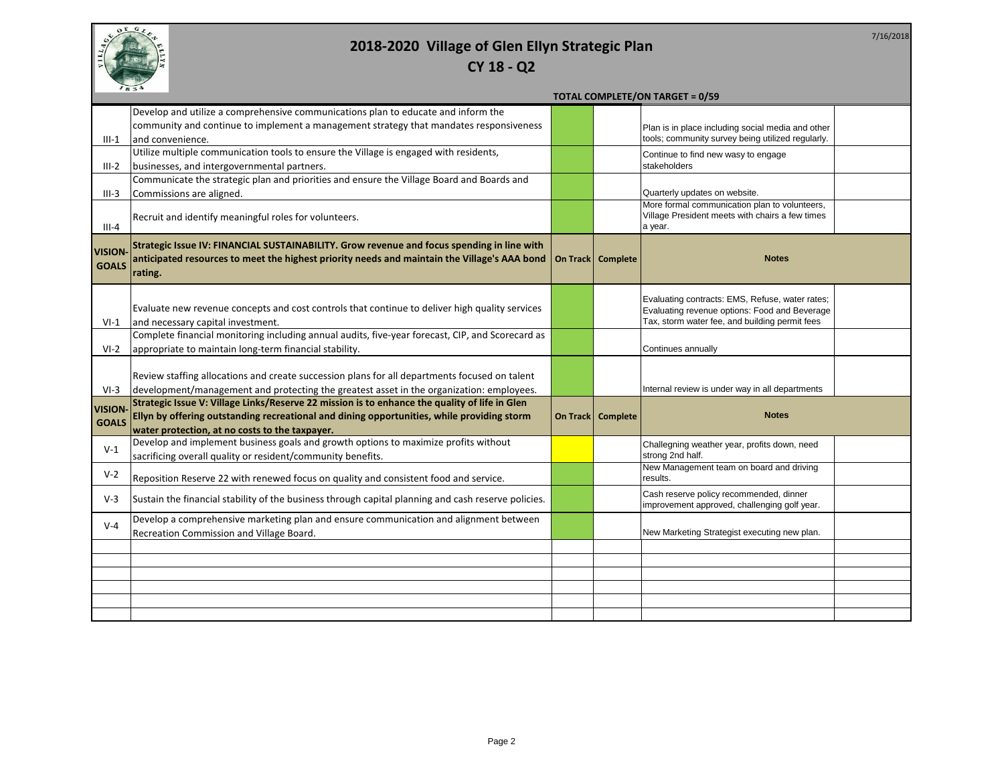

# **CY 18 - Q2**

|               |                                                                                                     |                     | <b>TOTAL COMPLETE/ON TARGET = 0/59</b>                                                           |  |
|---------------|-----------------------------------------------------------------------------------------------------|---------------------|--------------------------------------------------------------------------------------------------|--|
|               | Develop and utilize a comprehensive communications plan to educate and inform the                   |                     |                                                                                                  |  |
|               | community and continue to implement a management strategy that mandates responsiveness              |                     | Plan is in place including social media and other                                                |  |
| $III-1$       | and convenience.                                                                                    |                     | tools; community survey being utilized regularly.                                                |  |
|               | Utilize multiple communication tools to ensure the Village is engaged with residents,               |                     | Continue to find new wasy to engage                                                              |  |
| $III-2$       | businesses, and intergovernmental partners.                                                         |                     | stakeholders                                                                                     |  |
|               | Communicate the strategic plan and priorities and ensure the Village Board and Boards and           |                     |                                                                                                  |  |
| $III-3$       | Commissions are aligned.                                                                            |                     | Quarterly updates on website.                                                                    |  |
|               |                                                                                                     |                     | More formal communication plan to volunteers,                                                    |  |
| $III - 4$     | Recruit and identify meaningful roles for volunteers.                                               |                     | Village President meets with chairs a few times<br>a year.                                       |  |
|               |                                                                                                     |                     |                                                                                                  |  |
| <b>VISION</b> | Strategic Issue IV: FINANCIAL SUSTAINABILITY. Grow revenue and focus spending in line with          |                     |                                                                                                  |  |
| <b>GOALS</b>  | anticipated resources to meet the highest priority needs and maintain the Village's AAA bond        | On Track   Complete | <b>Notes</b>                                                                                     |  |
|               | rating.                                                                                             |                     |                                                                                                  |  |
|               |                                                                                                     |                     |                                                                                                  |  |
|               | Evaluate new revenue concepts and cost controls that continue to deliver high quality services      |                     | Evaluating contracts: EMS, Refuse, water rates;<br>Evaluating revenue options: Food and Beverage |  |
| VI-1          | and necessary capital investment.                                                                   |                     | Tax, storm water fee, and building permit fees                                                   |  |
|               | Complete financial monitoring including annual audits, five-year forecast, CIP, and Scorecard as    |                     |                                                                                                  |  |
| $VI-2$        | appropriate to maintain long-term financial stability.                                              |                     | Continues annually                                                                               |  |
|               |                                                                                                     |                     |                                                                                                  |  |
|               | Review staffing allocations and create succession plans for all departments focused on talent       |                     |                                                                                                  |  |
| $VI-3$        | development/management and protecting the greatest asset in the organization: employees.            |                     | Internal review is under way in all departments                                                  |  |
| <b>VISION</b> | Strategic Issue V: Village Links/Reserve 22 mission is to enhance the quality of life in Glen       |                     |                                                                                                  |  |
| <b>GOALS</b>  | Ellyn by offering outstanding recreational and dining opportunities, while providing storm          | On Track   Complete | <b>Notes</b>                                                                                     |  |
|               | water protection, at no costs to the taxpayer.                                                      |                     |                                                                                                  |  |
| $V-1$         | Develop and implement business goals and growth options to maximize profits without                 |                     | Challegning weather year, profits down, need                                                     |  |
|               | sacrificing overall quality or resident/community benefits.                                         |                     | strong 2nd half.                                                                                 |  |
| $V-2$         | Reposition Reserve 22 with renewed focus on quality and consistent food and service.                |                     | New Management team on board and driving<br>results.                                             |  |
|               |                                                                                                     |                     |                                                                                                  |  |
| $V-3$         | Sustain the financial stability of the business through capital planning and cash reserve policies. |                     | Cash reserve policy recommended, dinner<br>improvement approved, challenging golf year.          |  |
|               | Develop a comprehensive marketing plan and ensure communication and alignment between               |                     |                                                                                                  |  |
| $V - 4$       | Recreation Commission and Village Board.                                                            |                     | New Marketing Strategist executing new plan.                                                     |  |
|               |                                                                                                     |                     |                                                                                                  |  |
|               |                                                                                                     |                     |                                                                                                  |  |
|               |                                                                                                     |                     |                                                                                                  |  |
|               |                                                                                                     |                     |                                                                                                  |  |
|               |                                                                                                     |                     |                                                                                                  |  |
|               |                                                                                                     |                     |                                                                                                  |  |

7/16/2018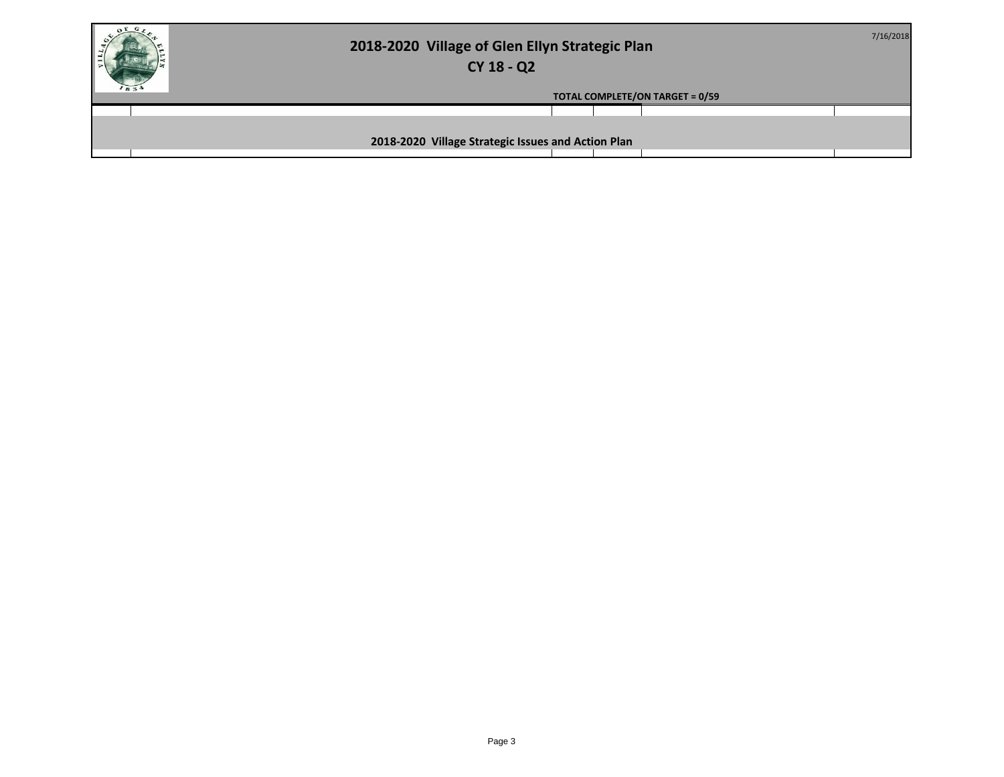| 2018-2020 Village of Glen Ellyn Strategic Plan<br>CY 18 - Q2 | 7/16/2018 |
|--------------------------------------------------------------|-----------|
| <b>TOTAL COMPLETE/ON TARGET = 0/59</b>                       |           |
|                                                              |           |
| 2018-2020 Village Strategic Issues and Action Plan           |           |
|                                                              |           |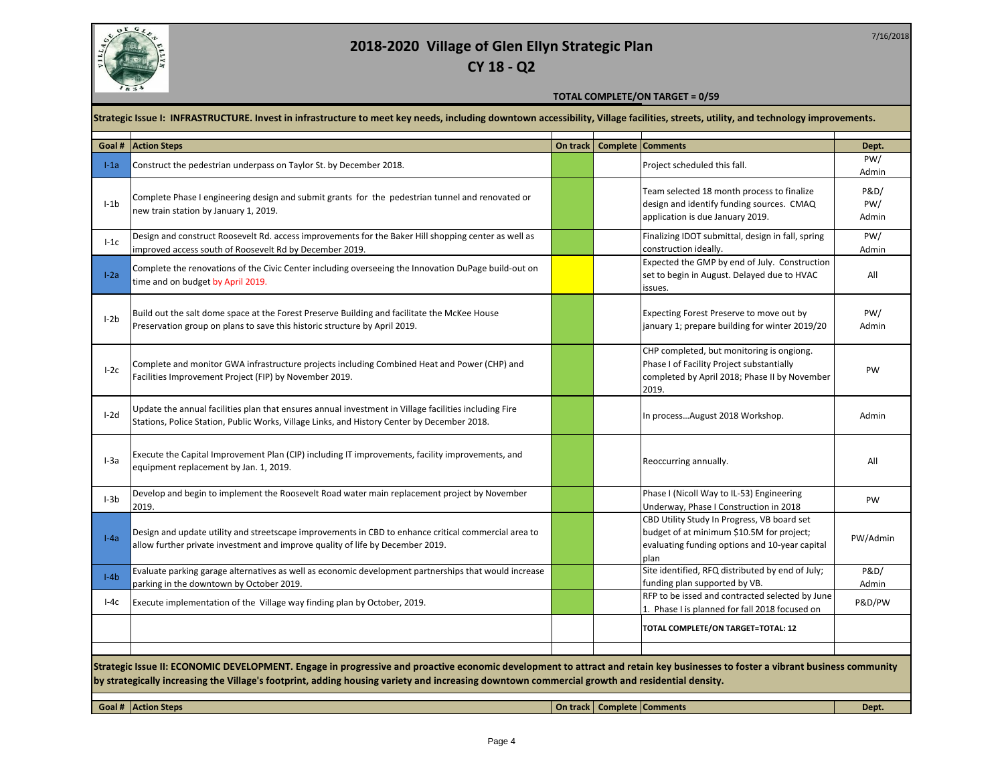

**CY 18 - Q2**

#### **TOTAL COMPLETE/ON TARGET = 0/59**

#### **Strategic Issue I: INFRASTRUCTURE. Invest in infrastructure to meet key needs, including downtown accessibility, Village facilities, streets, utility, and technology improvements.**

| <b>Action Steps</b><br>On track   Complete   Comments<br>Goal # |                                                                                                                                                                                                                                                                                                                                  |  |  |                                                                                                                                                    |                       |  |  |
|-----------------------------------------------------------------|----------------------------------------------------------------------------------------------------------------------------------------------------------------------------------------------------------------------------------------------------------------------------------------------------------------------------------|--|--|----------------------------------------------------------------------------------------------------------------------------------------------------|-----------------------|--|--|
| $I-1a$                                                          | Construct the pedestrian underpass on Taylor St. by December 2018.                                                                                                                                                                                                                                                               |  |  | Project scheduled this fall.                                                                                                                       | Dept.<br>PW/<br>Admin |  |  |
| $I-1b$                                                          | Complete Phase I engineering design and submit grants for the pedestrian tunnel and renovated or<br>new train station by January 1, 2019.                                                                                                                                                                                        |  |  | Team selected 18 month process to finalize<br>design and identify funding sources. CMAQ<br>application is due January 2019.                        | P&D/<br>PW/<br>Admin  |  |  |
| $l-1c$                                                          | Design and construct Roosevelt Rd. access improvements for the Baker Hill shopping center as well as<br>improved access south of Roosevelt Rd by December 2019.                                                                                                                                                                  |  |  | Finalizing IDOT submittal, design in fall, spring<br>construction ideally.                                                                         | PW/<br>Admin          |  |  |
| $I-2a$                                                          | Complete the renovations of the Civic Center including overseeing the Innovation DuPage build-out on<br>time and on budget by April 2019.                                                                                                                                                                                        |  |  | Expected the GMP by end of July. Construction<br>set to begin in August. Delayed due to HVAC<br>issues.                                            | All                   |  |  |
| $I-2b$                                                          | Build out the salt dome space at the Forest Preserve Building and facilitate the McKee House<br>Preservation group on plans to save this historic structure by April 2019.                                                                                                                                                       |  |  | Expecting Forest Preserve to move out by<br>january 1; prepare building for winter 2019/20                                                         | PW/<br>Admin          |  |  |
| $I-2c$                                                          | Complete and monitor GWA infrastructure projects including Combined Heat and Power (CHP) and<br>Facilities Improvement Project (FIP) by November 2019.                                                                                                                                                                           |  |  | CHP completed, but monitoring is ongiong.<br>Phase I of Facility Project substantially<br>completed by April 2018; Phase II by November<br>2019.   | PW                    |  |  |
| $I-2d$                                                          | Update the annual facilities plan that ensures annual investment in Village facilities including Fire<br>Stations, Police Station, Public Works, Village Links, and History Center by December 2018.                                                                                                                             |  |  | In processAugust 2018 Workshop.                                                                                                                    | Admin                 |  |  |
| $I-3a$                                                          | Execute the Capital Improvement Plan (CIP) including IT improvements, facility improvements, and<br>equipment replacement by Jan. 1, 2019.                                                                                                                                                                                       |  |  | Reoccurring annually.                                                                                                                              | All                   |  |  |
| $I-3b$                                                          | Develop and begin to implement the Roosevelt Road water main replacement project by November<br>2019.                                                                                                                                                                                                                            |  |  | Phase I (Nicoll Way to IL-53) Engineering<br>Underway, Phase I Construction in 2018                                                                | PW                    |  |  |
| $I-4a$                                                          | Design and update utility and streetscape improvements in CBD to enhance critical commercial area to<br>allow further private investment and improve quality of life by December 2019.                                                                                                                                           |  |  | CBD Utility Study In Progress, VB board set<br>budget of at minimum \$10.5M for project;<br>evaluating funding options and 10-year capital<br>plan | PW/Admin              |  |  |
| $I-4b$                                                          | Evaluate parking garage alternatives as well as economic development partnerships that would increase<br>parking in the downtown by October 2019.                                                                                                                                                                                |  |  | Site identified, RFQ distributed by end of July;<br>funding plan supported by VB.                                                                  | P&D/<br>Admin         |  |  |
| l-4c                                                            | Execute implementation of the Village way finding plan by October, 2019.                                                                                                                                                                                                                                                         |  |  | RFP to be issed and contracted selected by June<br>1. Phase I is planned for fall 2018 focused on                                                  | P&D/PW                |  |  |
|                                                                 |                                                                                                                                                                                                                                                                                                                                  |  |  | TOTAL COMPLETE/ON TARGET=TOTAL: 12                                                                                                                 |                       |  |  |
|                                                                 |                                                                                                                                                                                                                                                                                                                                  |  |  |                                                                                                                                                    |                       |  |  |
|                                                                 | Strategic Issue II: ECONOMIC DEVELOPMENT. Engage in progressive and proactive economic development to attract and retain key businesses to foster a vibrant business community<br>by strategically increasing the Village's footprint, adding housing variety and increasing downtown commercial growth and residential density. |  |  |                                                                                                                                                    |                       |  |  |
|                                                                 | Goal # Action Steps                                                                                                                                                                                                                                                                                                              |  |  | On track   Complete   Comments                                                                                                                     | Dept.                 |  |  |
|                                                                 |                                                                                                                                                                                                                                                                                                                                  |  |  |                                                                                                                                                    |                       |  |  |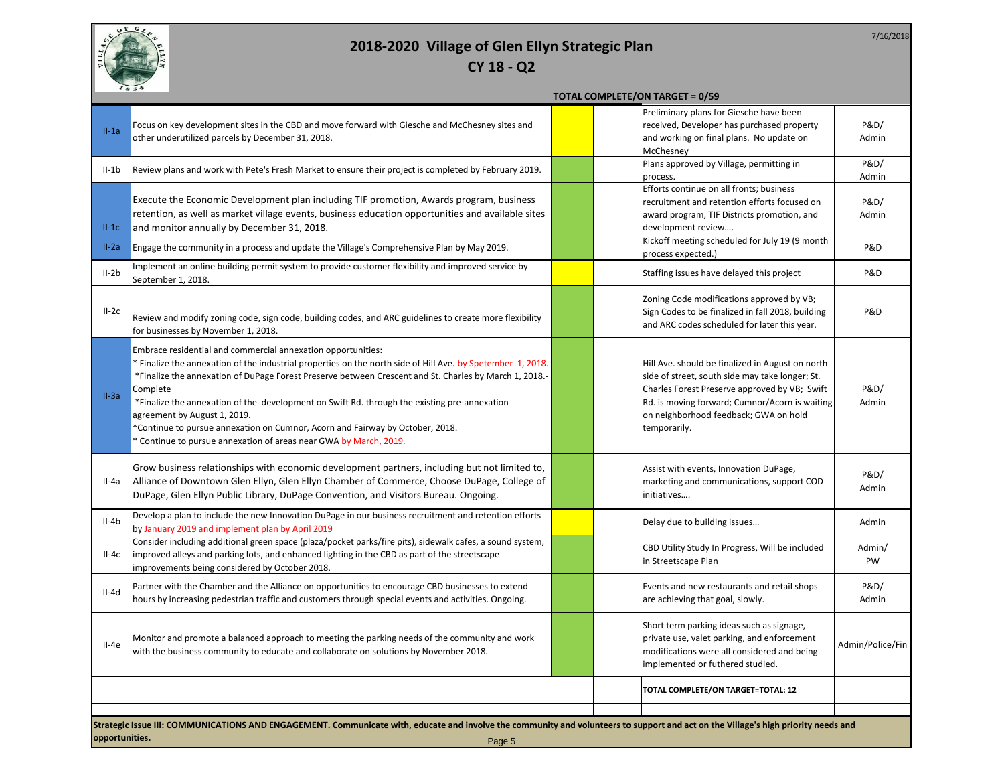

|                |                                                                                                                                                                                                                                                                                                                                                                                                                                                                                                                                                                                         | <b>TOTAL COMPLETE/ON TARGET = 0/59</b>                                                                                                                                                                                                                          |                  |
|----------------|-----------------------------------------------------------------------------------------------------------------------------------------------------------------------------------------------------------------------------------------------------------------------------------------------------------------------------------------------------------------------------------------------------------------------------------------------------------------------------------------------------------------------------------------------------------------------------------------|-----------------------------------------------------------------------------------------------------------------------------------------------------------------------------------------------------------------------------------------------------------------|------------------|
| $II-1a$        | Focus on key development sites in the CBD and move forward with Giesche and McChesney sites and<br>other underutilized parcels by December 31, 2018.                                                                                                                                                                                                                                                                                                                                                                                                                                    | Preliminary plans for Giesche have been<br>received, Developer has purchased property<br>and working on final plans. No update on<br>McChesney                                                                                                                  | P&D/<br>Admin    |
| $II-1b$        | Review plans and work with Pete's Fresh Market to ensure their project is completed by February 2019.                                                                                                                                                                                                                                                                                                                                                                                                                                                                                   | Plans approved by Village, permitting in<br>process.                                                                                                                                                                                                            | P&D/<br>Admin    |
| $II-1C$        | Execute the Economic Development plan including TIF promotion, Awards program, business<br>retention, as well as market village events, business education opportunities and available sites<br>and monitor annually by December 31, 2018.                                                                                                                                                                                                                                                                                                                                              | Efforts continue on all fronts; business<br>recruitment and retention efforts focused on<br>award program, TIF Districts promotion, and<br>development review                                                                                                   | P&D/<br>Admin    |
| $II-2a$        | Engage the community in a process and update the Village's Comprehensive Plan by May 2019.                                                                                                                                                                                                                                                                                                                                                                                                                                                                                              | Kickoff meeting scheduled for July 19 (9 month<br>process expected.)                                                                                                                                                                                            | P&D              |
| $II-2b$        | Implement an online building permit system to provide customer flexibility and improved service by<br>September 1, 2018.                                                                                                                                                                                                                                                                                                                                                                                                                                                                | Staffing issues have delayed this project                                                                                                                                                                                                                       | P&D              |
| $II-2c$        | Review and modify zoning code, sign code, building codes, and ARC guidelines to create more flexibility<br>for businesses by November 1, 2018.                                                                                                                                                                                                                                                                                                                                                                                                                                          | Zoning Code modifications approved by VB;<br>Sign Codes to be finalized in fall 2018, building<br>and ARC codes scheduled for later this year.                                                                                                                  | P&D              |
| $II-3a$        | Embrace residential and commercial annexation opportunities:<br>* Finalize the annexation of the industrial properties on the north side of Hill Ave. by Spetember 1, 2018.<br>*Finalize the annexation of DuPage Forest Preserve between Crescent and St. Charles by March 1, 2018.-<br>Complete<br>*Finalize the annexation of the development on Swift Rd. through the existing pre-annexation<br>agreement by August 1, 2019.<br>*Continue to pursue annexation on Cumnor, Acorn and Fairway by October, 2018.<br>* Continue to pursue annexation of areas near GWA by March, 2019. | Hill Ave. should be finalized in August on north<br>side of street, south side may take longer; St.<br>Charles Forest Preserve approved by VB; Swift<br>Rd. is moving forward; Cumnor/Acorn is waiting<br>on neighborhood feedback; GWA on hold<br>temporarily. | P&D/<br>Admin    |
| II-4a          | Grow business relationships with economic development partners, including but not limited to,<br>Alliance of Downtown Glen Ellyn, Glen Ellyn Chamber of Commerce, Choose DuPage, College of<br>DuPage, Glen Ellyn Public Library, DuPage Convention, and Visitors Bureau. Ongoing.                                                                                                                                                                                                                                                                                                      | Assist with events, Innovation DuPage,<br>marketing and communications, support COD<br>initiatives                                                                                                                                                              | P&D/<br>Admin    |
| $II-4b$        | Develop a plan to include the new Innovation DuPage in our business recruitment and retention efforts<br>by January 2019 and implement plan by April 2019                                                                                                                                                                                                                                                                                                                                                                                                                               | Delay due to building issues                                                                                                                                                                                                                                    | Admin            |
| $II-4c$        | Consider including additional green space (plaza/pocket parks/fire pits), sidewalk cafes, a sound system,<br>improved alleys and parking lots, and enhanced lighting in the CBD as part of the streetscape<br>improvements being considered by October 2018.                                                                                                                                                                                                                                                                                                                            | CBD Utility Study In Progress, Will be included<br>in Streetscape Plan                                                                                                                                                                                          | Admin/<br>PW     |
| $II-4d$        | Partner with the Chamber and the Alliance on opportunities to encourage CBD businesses to extend<br>hours by increasing pedestrian traffic and customers through special events and activities. Ongoing.                                                                                                                                                                                                                                                                                                                                                                                | Events and new restaurants and retail shops<br>are achieving that goal, slowly.                                                                                                                                                                                 | P&D/<br>Admin    |
| $II-4e$        | Monitor and promote a balanced approach to meeting the parking needs of the community and work<br>with the business community to educate and collaborate on solutions by November 2018.                                                                                                                                                                                                                                                                                                                                                                                                 | Short term parking ideas such as signage,<br>private use, valet parking, and enforcement<br>modifications were all considered and being<br>implemented or futhered studied.                                                                                     | Admin/Police/Fin |
|                |                                                                                                                                                                                                                                                                                                                                                                                                                                                                                                                                                                                         | TOTAL COMPLETE/ON TARGET=TOTAL: 12                                                                                                                                                                                                                              |                  |
| opportunities. | Strategic Issue III: COMMUNICATIONS AND ENGAGEMENT. Communicate with, educate and involve the community and volunteers to support and act on the Village's high priority needs and<br>Page 5                                                                                                                                                                                                                                                                                                                                                                                            |                                                                                                                                                                                                                                                                 |                  |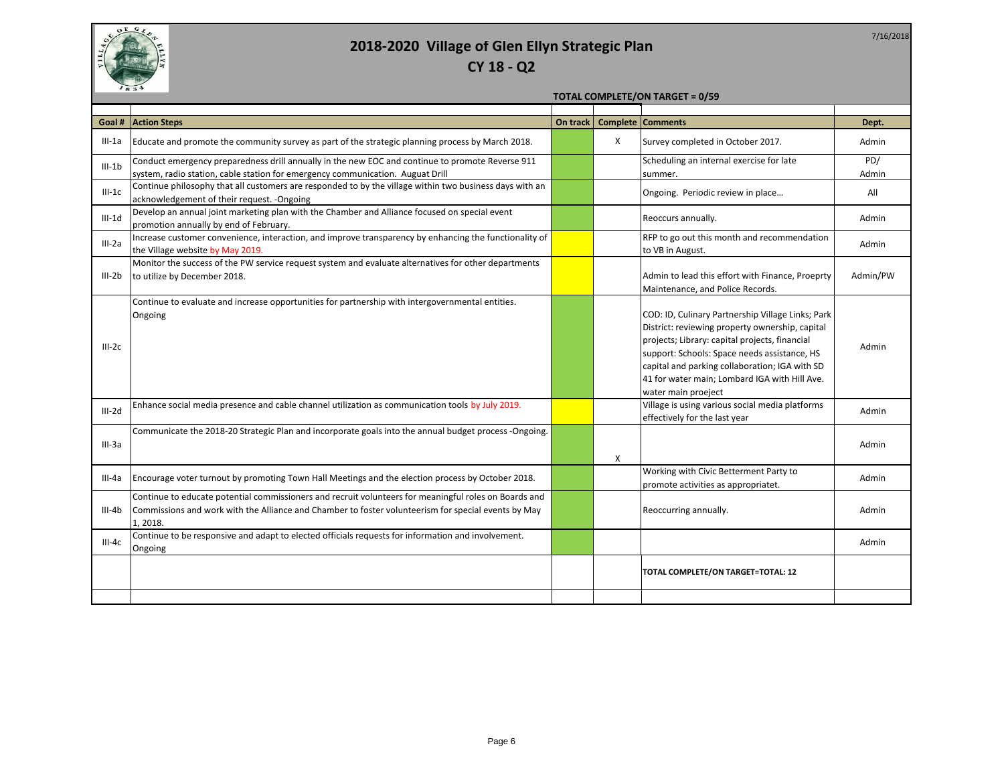

|  |  |  |  | <b>TOTAL COMPLETE/ON TARGET = 0/59</b> |  |
|--|--|--|--|----------------------------------------|--|
|--|--|--|--|----------------------------------------|--|

| Goal #     | <b>Action Steps</b>                                                                                                                                                                                                      | On track |   | Complete Comments                                                                                                                                                                                                                                                                                                                | Dept.        |
|------------|--------------------------------------------------------------------------------------------------------------------------------------------------------------------------------------------------------------------------|----------|---|----------------------------------------------------------------------------------------------------------------------------------------------------------------------------------------------------------------------------------------------------------------------------------------------------------------------------------|--------------|
| $III-1a$   | Educate and promote the community survey as part of the strategic planning process by March 2018.                                                                                                                        |          | X | Survey completed in October 2017.                                                                                                                                                                                                                                                                                                | Admin        |
| $III - 1b$ | Conduct emergency preparedness drill annually in the new EOC and continue to promote Reverse 911<br>system, radio station, cable station for emergency communication. Auguat Drill                                       |          |   | Scheduling an internal exercise for late<br>summer.                                                                                                                                                                                                                                                                              | PD/<br>Admin |
| $III-1C$   | Continue philosophy that all customers are responded to by the village within two business days with an<br>acknowledgement of their request. - Ongoing                                                                   |          |   | Ongoing. Periodic review in place                                                                                                                                                                                                                                                                                                | All          |
| $III-1d$   | Develop an annual joint marketing plan with the Chamber and Alliance focused on special event<br>promotion annually by end of February.                                                                                  |          |   | Reoccurs annually.                                                                                                                                                                                                                                                                                                               | Admin        |
| $III - 2a$ | Increase customer convenience, interaction, and improve transparency by enhancing the functionality of<br>the Village website by May 2019.                                                                               |          |   | RFP to go out this month and recommendation<br>to VB in August.                                                                                                                                                                                                                                                                  | Admin        |
| $III-2b$   | Monitor the success of the PW service request system and evaluate alternatives for other departments<br>to utilize by December 2018.                                                                                     |          |   | Admin to lead this effort with Finance, Proeprty<br>Maintenance, and Police Records.                                                                                                                                                                                                                                             | Admin/PW     |
| $III-2c$   | Continue to evaluate and increase opportunities for partnership with intergovernmental entities.<br>Ongoing                                                                                                              |          |   | COD: ID, Culinary Partnership Village Links; Park<br>District: reviewing property ownership, capital<br>projects; Library: capital projects, financial<br>support: Schools: Space needs assistance, HS<br>capital and parking collaboration; IGA with SD<br>41 for water main; Lombard IGA with Hill Ave.<br>water main proeject | Admin        |
| $III - 2d$ | Enhance social media presence and cable channel utilization as communication tools by July 2019.                                                                                                                         |          |   | Village is using various social media platforms<br>effectively for the last year                                                                                                                                                                                                                                                 | Admin        |
| $III-3a$   | Communicate the 2018-20 Strategic Plan and incorporate goals into the annual budget process -Ongoing.                                                                                                                    |          | X |                                                                                                                                                                                                                                                                                                                                  | Admin        |
| III-4a     | Encourage voter turnout by promoting Town Hall Meetings and the election process by October 2018.                                                                                                                        |          |   | Working with Civic Betterment Party to<br>promote activities as appropriatet.                                                                                                                                                                                                                                                    | Admin        |
| $III-4b$   | Continue to educate potential commissioners and recruit volunteers for meaningful roles on Boards and<br>Commissions and work with the Alliance and Chamber to foster volunteerism for special events by May<br>1, 2018. |          |   | Reoccurring annually.                                                                                                                                                                                                                                                                                                            | Admin        |
| $III-4c$   | Continue to be responsive and adapt to elected officials requests for information and involvement.<br>Ongoing                                                                                                            |          |   |                                                                                                                                                                                                                                                                                                                                  | Admin        |
|            |                                                                                                                                                                                                                          |          |   | TOTAL COMPLETE/ON TARGET=TOTAL: 12                                                                                                                                                                                                                                                                                               |              |
|            |                                                                                                                                                                                                                          |          |   |                                                                                                                                                                                                                                                                                                                                  |              |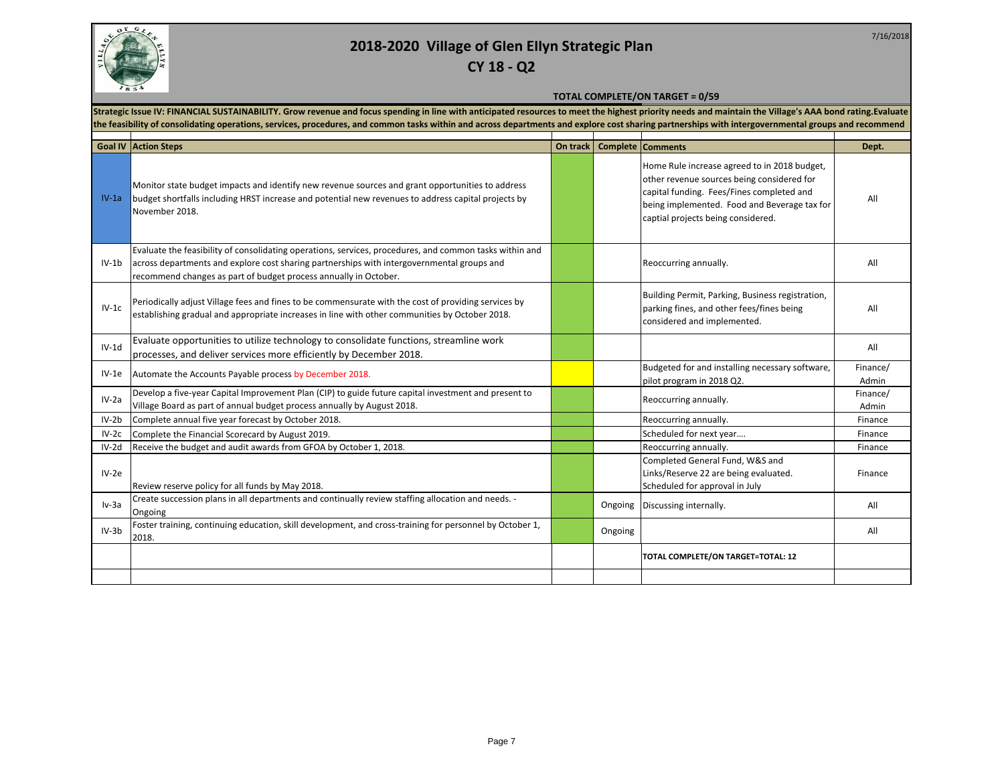

#### **TOTAL COMPLETE/ON TARGET = 0/59**

Strategic Issue IV: FINANCIAL SUSTAINABILITY. Grow revenue and focus spending in line with anticipated resources to meet the highest priority needs and maintain the Village's AAA bond rating.Evaluate the feasibility of consolidating operations, services, procedures, and common tasks within and across departments and explore cost sharing partnerships with intergovernmental groups and recommend **intergovernmental groups** ┯ ┯ ─ा

|         | <b>Goal IV Action Steps</b>                                                                                                                                                                                                                                               | On track |         | <b>Complete Comments</b>                                                                                                                                                                                                      | Dept.             |
|---------|---------------------------------------------------------------------------------------------------------------------------------------------------------------------------------------------------------------------------------------------------------------------------|----------|---------|-------------------------------------------------------------------------------------------------------------------------------------------------------------------------------------------------------------------------------|-------------------|
| $IV-1a$ | Monitor state budget impacts and identify new revenue sources and grant opportunities to address<br>budget shortfalls including HRST increase and potential new revenues to address capital projects by<br>November 2018.                                                 |          |         | Home Rule increase agreed to in 2018 budget,<br>other revenue sources being considered for<br>capital funding. Fees/Fines completed and<br>being implemented. Food and Beverage tax for<br>captial projects being considered. | All               |
| $IV-1b$ | Evaluate the feasibility of consolidating operations, services, procedures, and common tasks within and<br>across departments and explore cost sharing partnerships with intergovernmental groups and<br>recommend changes as part of budget process annually in October. |          |         | Reoccurring annually.                                                                                                                                                                                                         | All               |
| $IV-1c$ | Periodically adjust Village fees and fines to be commensurate with the cost of providing services by<br>establishing gradual and appropriate increases in line with other communities by October 2018.                                                                    |          |         | Building Permit, Parking, Business registration,<br>parking fines, and other fees/fines being<br>considered and implemented.                                                                                                  | All               |
| $IV-1d$ | Evaluate opportunities to utilize technology to consolidate functions, streamline work<br>processes, and deliver services more efficiently by December 2018.                                                                                                              |          |         |                                                                                                                                                                                                                               | All               |
| $IV-1e$ | Automate the Accounts Payable process by December 2018.                                                                                                                                                                                                                   |          |         | Budgeted for and installing necessary software,<br>pilot program in 2018 Q2.                                                                                                                                                  | Finance/<br>Admin |
| $IV-2a$ | Develop a five-year Capital Improvement Plan (CIP) to guide future capital investment and present to<br>Village Board as part of annual budget process annually by August 2018.                                                                                           |          |         | Reoccurring annually.                                                                                                                                                                                                         | Finance/<br>Admin |
| $IV-2b$ | Complete annual five year forecast by October 2018.                                                                                                                                                                                                                       |          |         | Reoccurring annually.                                                                                                                                                                                                         | Finance           |
| $IV-2c$ | Complete the Financial Scorecard by August 2019.                                                                                                                                                                                                                          |          |         | Scheduled for next year                                                                                                                                                                                                       | Finance           |
| $IV-2d$ | Receive the budget and audit awards from GFOA by October 1, 2018.                                                                                                                                                                                                         |          |         | Reoccurring annually.                                                                                                                                                                                                         | Finance           |
| $IV-2e$ | Review reserve policy for all funds by May 2018.                                                                                                                                                                                                                          |          |         | Completed General Fund, W&S and<br>Links/Reserve 22 are being evaluated.<br>Scheduled for approval in July                                                                                                                    | Finance           |
| $Iv-3a$ | Create succession plans in all departments and continually review staffing allocation and needs. -<br>Ongoing                                                                                                                                                             |          | Ongoing | Discussing internally.                                                                                                                                                                                                        | All               |
| $IV-3b$ | Foster training, continuing education, skill development, and cross-training for personnel by October 1,<br>2018.                                                                                                                                                         |          | Ongoing |                                                                                                                                                                                                                               | All               |
|         |                                                                                                                                                                                                                                                                           |          |         | TOTAL COMPLETE/ON TARGET=TOTAL: 12                                                                                                                                                                                            |                   |
|         |                                                                                                                                                                                                                                                                           |          |         |                                                                                                                                                                                                                               |                   |